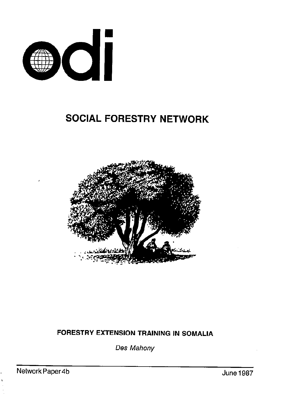

# SOCIAL FORESTRY NETWORK



# FORESTRY EXTENSION TRAINING IN SOMALIA

Des Mahony

Network Paper 4b June 1987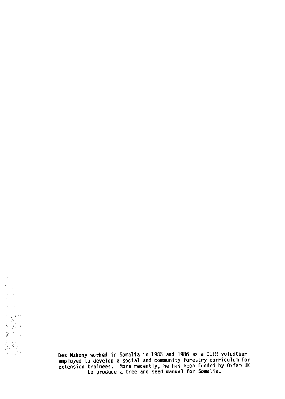Des Mahony worked in Somalia in 1985 and 1986 as a CIIR volunteer employed to develop a social and community forestry curriculum for extension trainees. More recently, he has been funded by Oxfam UK to produce a tree and seed manual for Somalia.

 $\ddot{\phantom{a}}$ 

 $\frac{1}{2}$  ;  $\frac{1}{2}$ 

 $\mathcal{D}^{\mathcal{L}}=\mathcal{G}^{\mathcal{L}}$  $\frac{1}{2}$ Ÿ.

.~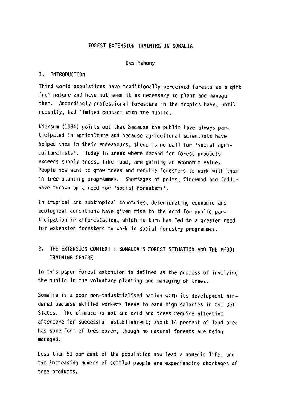### FOREST EXTENSION TRAINlNG IN SOMALIA

#### Des Mahony

#### I. INTRODUCTION

Third world populations have traditionally perceived forests as a gift from nature and have not seen it as necessary to plant and manage them. Accordingly professional foresters in the tropics have, until recently, had limited contact with the public.

Wiersum (1984) points out that because the public have always participated in agriculture and because agricultural scientists have helped them in their endeavours, there is no call for 'social agriculturalists'. Today in areas where demand for forest products exceeds supply trees, like food, are gaining an economic value. People now want to grow trees and require foresters to work with them in tree planting programmes. Shortages of poles, firewood and fodder have thrown up a need for 'social foresters'.

In tropical and subtropical countries, deteriorating economic and ecological conditions have given rise to the need for public participation in afforestation, which in turn has led to a greater need for extension foresters to work in social forestry programmes.

# 2. THE EXTENSION CONTEXT : SOMALIA'S FOREST SITUATION AN0 THE AFGOI TRAINING CENTRE

In this paper forest extension is defined as the process of involving the public in the voluntary planting and managing of trees.

Somalia is a poor non-industrialised nation with its development hindered because skilled workers leave to earn high salaries in the Gulf States. The climate is hot and arid and trees require attentive aftercare for successful establishment; about 14 percent of land area has some form of tree cover, though no natural forests are being managed.

Less than 50 per cent of the population now lead a nomadic life, and the increasing number of settled people are experiencing shortages of tree products.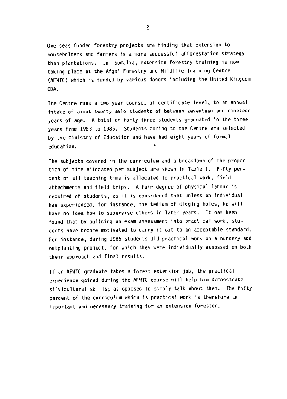Overseas funded forestry projects are finding that extension to householders and farmers is a more successful afforestation strategy than plantations. In Somalia, extension forestry training is now taking place at the Afgoi Forestry and Wildlife Training Centre (AFWTC) Which is funded by various donors including the United Kingdom OOA.

The Centre runs a two year course, at certificate level, to an annual intake of about twenty male students of between seventeen and nineteen years Of age. A total of forty three students graduated in the three years from 1983 to 1985. Students coming to the Centre are selected by the Ministry of Education and have had eight years of formal education. .

The subjects covered in the curriculum and a breakdown of the proportion of time allocated per subject are shown in Table 1. Fifty percent of all teaching time is allocated to practical work, field attachments and field trips. A fair degree of physical labour is required of students, as it is considered that unless an individual has experienced, for instance, the tedium of digging holes, he will have no idea how to supervise others in later years. It has been found that by building an exam assessment into practical work. students have become motivated to carry it out to an acceptable standard. For instance, during 1985 students did practical work on a nursery and outplanting project, for which they were individually assessed on both their approach and final results.

If an AFWTC graduate takes a forest extension job, the practical experience gained during the AFWTC course will help him demonstrate silvicultural skills; as opposed to simply talk about them. The fifty percent of the curriculum which is practical work is therefore an important and necessary training for an extension forester.

2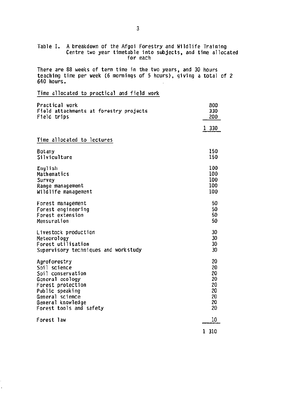| Table I. A breakdown of the Afgoi Forestry and Wildlife Training<br>Centre two year timetable into subjects, and time allocate<br>for each          |                          |  |
|-----------------------------------------------------------------------------------------------------------------------------------------------------|--------------------------|--|
| There are 88 weeks of term time in the two years, and 30 hours<br>teaching time per week (6 mornings of 5 hours), giving a total of 2<br>640 hours. |                          |  |
| Time allocated to practical and field work                                                                                                          |                          |  |
| Practical work<br>Field attachments at forestry projects<br>Field trips                                                                             | 800<br>330<br>200        |  |
|                                                                                                                                                     | 1 330                    |  |
| Time allocated to lectures                                                                                                                          |                          |  |
| Botany<br>Silviculture                                                                                                                              | 150<br>150               |  |
| English<br>Mathematics<br>Survey<br>Range management                                                                                                | 100<br>100<br>100<br>100 |  |
| Wildlife management                                                                                                                                 | 100                      |  |
| Forest management<br>Forest engineering<br>Forest extension<br>Mensuration                                                                          | 50<br>50<br>50<br>50     |  |
| Livestock production<br>Meteorology<br>Forest utilisation<br>Supervisory techniques and workstudy                                                   | 30<br>30<br>30<br>30     |  |
| Agroforestry<br>Soil science<br>Soil conservation                                                                                                   | 20<br>20<br>20           |  |
| General ecology<br>Forest protection<br>Public speaking<br>General science                                                                          | 20<br>20<br>20<br>20     |  |
| General knowledge<br>Forest tools and safety                                                                                                        | 20<br>20                 |  |
| Forest law                                                                                                                                          | 10                       |  |
|                                                                                                                                                     | 1 310                    |  |

 $\ddot{\phantom{0}}$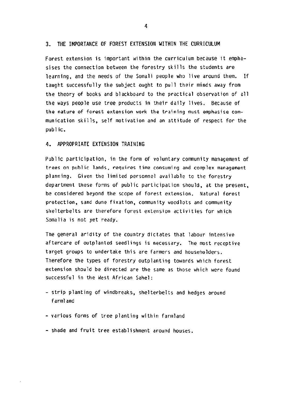#### 3. THE IMPORTANCE OF FOREST EXTENSION WITHIN THE CURRICULUM

Forest extension is important within the curriculum because it emphasises the connection between the forestry skills the students are learning, and the needs of the Somali people who live around them. If taught successfully the subject ought to pull their minds away from the theory of books and blackboard to the practical observation of all the ways people use tree products in their daily lives. Because of the nature of forest extension work the training must emphasise cornmunication skills, self motivation and an attitude of respect for the public.

#### 4. APPROPRIATE EXTENSION TRAINING

Public participation, in the form of voluntary community management of trees on public lands, requires time consuming and complex management planning. Given the limited personnel available to the forestry department these forms of public participation should, at the present, be considered beyond the scope of forest extension. Natural forest protection, sand dune fixation, community woodlots and community shelterbelts are therefore forest extension activities for which Somalia is not yet ready.

The general aridity of the country dictates that labour intensive aftercare of outplanted seedlings is necessary. The most receptive target groups to undertake this are farmers and householders. Therefore the types of forestry outplanting towards which forest extension should be directed are the same as those which were found successful in the West African Sahel:

- strip planting of windbreaks, shelterbelts and hedges around farmland
- various forms of tree planting within farmland
- shade and fruit tree establishment around houses.

4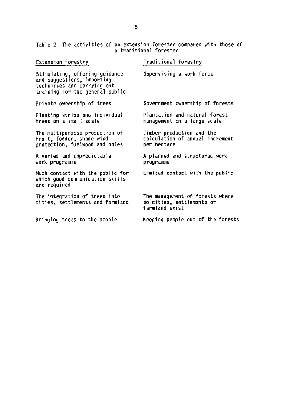Table 2 The activities of an extension forester compared with those of a traditional forest

| Extension forestry                                                                                                             | Traditional forestry                                                           |
|--------------------------------------------------------------------------------------------------------------------------------|--------------------------------------------------------------------------------|
| Stimulating, offering guidance<br>and suggestions, importing<br>techniques and carrying out<br>training for the general public | Supervising a work force                                                       |
| Private ownership of trees                                                                                                     | Government ownership of forests                                                |
| Planting strips and individual<br>trees on a small scale                                                                       | Plantation and natural forest<br>management on a large scale                   |
| The multipurpose production of<br>fruit, fodder, shade wind<br>protection, fuelwood and poles                                  | Timber production and the<br>calculation of annual increment<br>per hectare    |
| A varied and unpredictable<br>work programme                                                                                   | A planned and structured work<br>programme                                     |
| Much contact with the public for<br>which qood communication skills<br>are required                                            | Limited contact with the public                                                |
| The integration of trees into<br>cities, settlements and farmland                                                              | The management of forests where<br>no cities, settlements or<br>farmland exist |
| Bringing trees to the people                                                                                                   | Keeping people out of the forests                                              |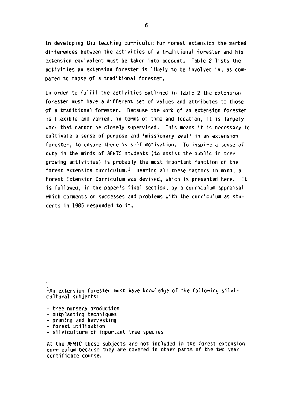In developing the teaching curriculum for forest extension the marked differences between the activities of a traditional forester and his extension equivalent must be taken into account. Table 2 lists the activities an extension forester is likely to be involved in, as compared to those of a traditional forester.

In order to fulfil the activities outlined in Table 2 the extension forester must have a different set of values and attributes to those of a traditional forester. Because the work of an extension forester is flexible and varied, in terms of time and location, it is largely work that cannot be closely supervised. This means it is necessary to cultivate a sense of purpose and 'missionary zeal' in an extension forester, to enswe there is self motivation. To inspire a sense of duty in the minds of AFWTC students (to assist the public in tree growing activities) is probably the most important function of the forest extension curriculum.  $1$  Bearing all these factors in mind, a Forest Extension Curriculum was devised, which is presented here. It is followed, in the paper's final section, by a curriculum appraisal which comments on successes and problems with the curriculum as students in 1385 responded to it.

 $^{\,1}$ An extension forester must have knowledge of the following silvicultural subjects:

- tree nursery production
- outplanting techniques
- pruning and harvesting
- forest utilisation
- silviculture of important tree species

At the AFWTC these subjects are not included in the forest extension curriculum because they are covered in other parts of the two year certificate cowse.

6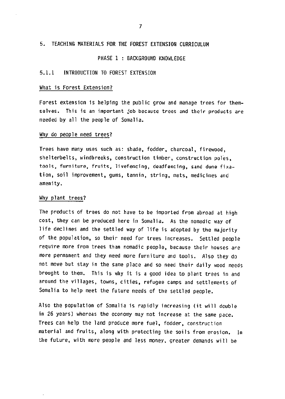#### 5. TEACHING MATERIALS FOR THE FOREST EXTENSION CURRICULUM

PHASE 1 : BACKGROUND KNOWLEDGE

#### 5.1.1 INTRODUCTION TO FOREST EXTENSION

#### What is Forest Extension?

Forest extension is helping the public grow and manage trees for themselves. This is an important job because trees and their products are needed by all the people of Somalia.

#### Why do people need trees?

Trees have many uses such as: shade, fodder, charcoal, firewood, shelterbelts, windbreaks, construction timber, construction poles, tools, furniture, fruits, livefencing, deadfencing, sand dune fixation, soil improvement, gums, tannin, string, mats, medicines and amenity.

#### Why plant trees?

The products of trees do not have to be imported from abroad at high cost, they can be produced here in Somalia. As the nomadic way of life declines and the settled way of life is adopted by the majority of the population, so their need for trees increases. Settled people require wore from trees than nomadic people, because their houses are more permanent and they need nore furniture and tools. Also they do not move but stay in the same place and 50 need their daily wood needs brought to them. This is why it is a good idea to plant trees in and around the villages, towns, cities, refugee tamps and settlements of Somalia to help meet the future needs of the settled people.

Also the population Of Somalia is rapidly increasing (it will double in 26 years) whereas the economy may not increase at the same pace. Trees can help the land produce more fuel, fodder, construction material and fruits, along with protecting the soils from erosion. In the future, with more people and less money, greater demands will be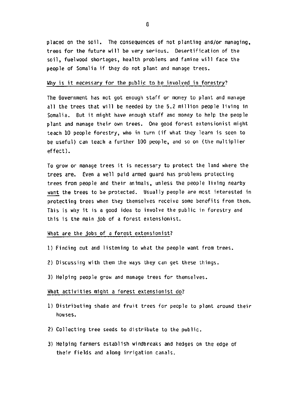placed an the soil. The consequences of not planting and/or managing, trees for the future will be very serious. Oesertification of the soil, fuelwood shortages, health problems and famine will face the people of Somalia if they do not plant and manage trees.

#### Why is it necessary for the public to be involved in forestry?

The Government has not got enough staff or money to plant and manage all the trees that will be needed by the 5.2 million people living in Somalia. But it might have enough staff ana money to help the people plant and manage their own trees. One good forest extensionist might teach 10 people forestry, who in turn (if what they learn is seen to be useful) can teach a further 100 people, and so on (the multiplier effect).

TO grow or manage trees it is necessary to protect the land where the trees are. Even a well paid armed guard has problems protecting trees from people and their animals, unless the people living nearby want the trees to be protected. Usually people are most interested in protecting trees when they themselves receive some benefits from them. This is why it is a good idea to involve the public in forestry and this is the main job of a forest extensionist.

#### What are the jobs of a forest extensionist7

- 1) Finding out and listening to what the people want from trees.
- 2) Discussing with them the ways they can get these things.
- 3) Helping people grow and manage trees for themselves.

#### What activities might a forest extensionist do?

- 1) Distributing shade and fruit trees for people to plant around their houses.
- 2) Collecting tree seeds to distribute to the public
- 3) Helping farmers establish windbreaks and hedges on the edge of their fields and along irrigation canals.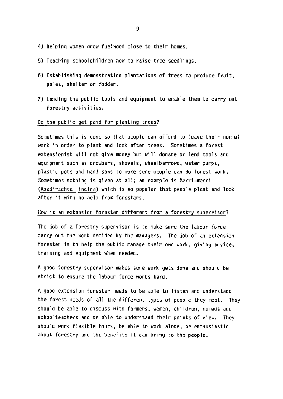- 4) Helping women grow fuelwood close to their homes.
- 5) Teaching schoolchildren how to raise tree seedlings.
- 6) Establishing demonstration plantations of trees to produce fruit, poles, shelter or fodder.
- 7) Lending the public tools and equipment to enable them to carry out forestry activities.

#### 00 the public get paid for planting trees?

Sometimes this is done so that people can afford to leave their normal work in order to plant and look after trees. Sometimes a forest extensionist will not give money but will donate or lend tools and equipment such as crowbars, shovels, wheelbarrows, water pumps. plastic pots and hand saws to make sure people can do forest work. Sometimes nothing is given at all; an example is Merri-merri (Azadirachta indica) which is so popular that people plant and look after it with no help from foresters.

#### How is an extension forester different from a forestry supervisor?

The job of a forestry supervisor is to make sure the labour force carry out the work decided by the managers. The job of an extension forester is to help the public manage their own work, giving advice, training and equipment when needed.

A good forestry supervisor makes sure work gets done and should be strict to ensure the labour force works hard.

A good extension forester needs to be able to listen and understand the forest needs of all the different types of people they meet. They should be able to discuss with farmers, women, children, nomads and schoolteachers and be able to understand their points of view. They should work flexible hours, be able to work alone, be enthusiastic about forestry and the benefits it can bring to the people.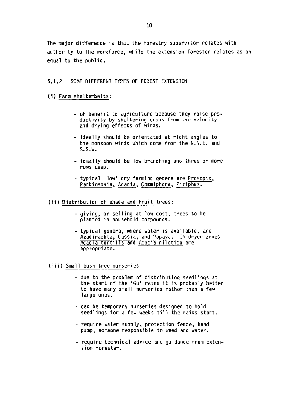The major difference is that the forestry supervisor relates with authority to the workforce, while the extension forester relates as an equal to the public.

#### 5.1.2 SOME DIFFERENT TYPES OF FOREST EXTENSION

- (i) Farm shelterbelts:
	- of benefit to agriculture because they raise productivity by sheltering crops from the velocity and drying effects of winds.
	- ideally should be orientated at right angles to the monsoon winds which come from the N.N.E. and S.S.W.
	- ideally should be low branching and three or more rows deep.
	- typical 'low' dry farming genera are Prosopis, Parkinsonia, Acacia, Commiphora, Ziziphus.

(ii) Distribution of shade and fruit trees:

- giving. or selling at low cost, trees to be planted in household compounds.
- typical genera. where water is available, are Azadirachta, Cassia, and Papaya. In dryer zones Acacia tortilis and Acacia nilotica are appropriate.

(iii) Small bush tree nurseries

- due to the problem of distributing seedlings at the start of the 'Gu' rains it is probably better to have many small nurseries rather than a few large ones.
- can be temporary nurseries designed to hold seedlings for a few weeks till the rains start.
- require water supply, protection fence, hand pump, someone responsible to weed and water.
- require technical advice and guidance from extension forester.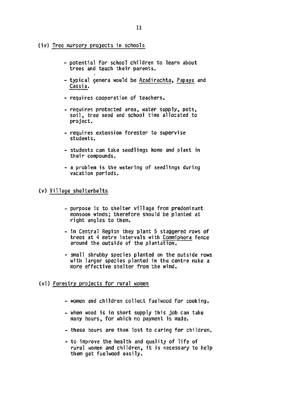- (iv) Tree nursery projects in schools
	- potential for school children to learn about trees and teach their parents.
	- typical genera would be Azadirachta, Papaya and Cassia.
	- requires cooperation of teachers.
	- requires protected area, water supply, pots, soil, tree seed and school time allocated to project.
	- requires extension forester to supervise Students.
	- students can take seedlings home and plant in their compounds.
	- a problem is the watering of seedlings during vacation periods.

#### (v) Village shelterbelts

- purpose is to shelter village from predominant monsoon winds; therefore should be planted at right angles to them.
- in Central Region they plant 5 staggered rows of trees at 4 metre intervals with Comniphora fence around the outside of the plantation.
- small shrubby species planted on the outside rows with larger species planted in the centre make a more effective shelter from the wind.

#### (vi) Forestry projects for rural women

- women and children collect fuelwood for cooking.
- when wood is in Short supply this job can take many hours, for which no payment is made.
- these hours are then lost to caring for children.
- to improve the health and quality of life of rural women and children, it is necessary to help them get fuelwood easily.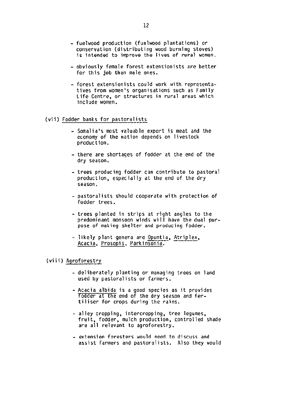- fuelwood production (fuelwood plantations) or conservation (distributing wood burning stoves) is intended to improve the lives of rural women.
- obviously female forest extensionists are better for this job than male ones.
- forest extensionists could work with representatives from women's organisations such as Family Life Centre, or structures in rural areas which include women.

### (vii) Fodder banks for pastoralists

- Somalia's most valuable export is meat and the economy of the nation depends on livestock production.
- there are shortages of fodder at the end of the dry season.
- trees producing fodder can contribute to pastoral production, especially at the end of the dry season.
- pastoralists should cooperate with protection of fodder trees.
- trees planted in strips at right angles to the predominant monsoon winds will have the dual purpose of making shelter and producing fodder.
- likely plant genera are Opuntia, Atriplex, Acacia, Prosopis, Parkinsonia.

#### (viii) Agroforestry

- deliberately planting or managing trees on land used by pastoralists or farmers.
- -Acacia albida is a good species as it provides fodder at the end of the dry season and fertiliser for crops during the rains.
- alley cropping, intercropping, tree legumes. fruit. fodder, mulch production, controlled shade are all relevant to agroforestry.
- extension foresters would need to discuss and assist farmers and pastoralists. Also they would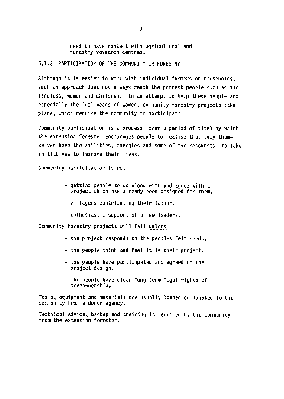need to have contact with agricultural and forestry research centres.

5.1.3 PARTICIPATION OF THE COVWNITY IN FORESTRY

Although it is easier to work with individual farmers or households, such an approach does not always reach the poorest people such as the landless, women and children. In an attempt to help these people and especially the fuel needs of women, community forestry projects take place, which require the community to participate.

Community participation is a process (over a period of time) by which the extension forester encourages people to realise that they themselves have the abilities, energies and some of the resources, to take initiatives to improve their lives.

Community participation is not:

- getting people to go along with and agree with a project which has already been designed for them.
- villagers contributing their labour.
- enthusiastic support of a few leaders.

Community forestry projects will fail unless

- the project responds to the peoples felt needs.
- the people think and feel it is their project.
- the people have participated and agreed on the project design.
- the people have clear long term legal rights of treeownership.

Tools, equipment and materials are usually loaned or donated to the community from a donor agency.

Technical advice, backup and training is required by the community from the extension forester.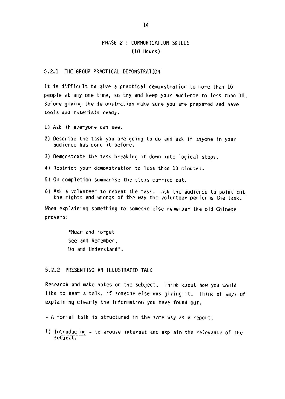# PHASE 2 : COMMUNICATION SKILLS (10 Hours)

#### 5.2.1 THE GROUP PRACTICAL DEMONSTRATION

It is difficult to give a practical demonstration to more than 10 people at any one time, so try and keep your audience to less than 10. Before giving the demonstration make sure you are prepared and have tools and materials ready.

- 1) Ask if everyone can see.
- 2) Describe the task you are going to do and ask if anyone in your audience has done it before.
- 3) Demonstrate the task breaking it down into logical steps.
- 4) Restrict your demonstration to less than 10 minutes.
- 5) On completion summarise the steps carried out.
- 6) Ask a volunteer to repeat the task. Ask the audience to point out the rights and wrongs of the way the volunteer performs the task.

When explaining something to someone else remember the old Chinese proverb:

> "Hear and Forget See and Remember, 00 and Understand".

#### 5.2.2 PRESENTING AN ILLUSTRATED TALK

Research and make notes on the subject. Think about how you would like to hear a talk, if someone else was giving it. Think of ways of explaining clearly the information you have found out.

- A formal talk is structured in the same way as a report:
- 1) Introducing to arouse interest and explain the relevance of the subject.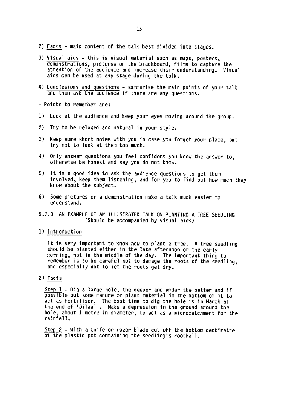- 2) Facts main content of the talk best divided into stages.
- 3) Visual aids this is visual material such as maps, posters, demonstrations, pictures on the blackboard, films to capture the attention of the audience and increase their understanding. Visual aids can be used at any stage during the talk.
- 4) Conclusions and questions summarise the main points of your talk and then ask the audience if there are any questions.
- Points to remember are:
- 1) Look at the audience and keep your eyes moving around the group.
- 2) Try to be relaxed and natural in your style.
- 3) Keep some short notes with you in case you forget your place, but try not to look at them too much.
- 4) Only answer questions you feel confident you know the answer to. otherwise be honest and say you do not know.
- 5) It is a good idea to ask the audience questions to get them involved, keep them listening, and for you to find out how much they know about the subject.
- 6) Some pictures or a demonstration make a talk much easier to understand.
- 5.2.3 AN EXAMPLE OF AN ILLUSTRATE0 TALK ON PLANTING A TREE SEEOLlNG (Should be accompanied by visual aids)
- 1) Introduction

It is very important to know how to plant a tree. A tree seedling should be planted either in the late afternoon or the early morning, not in the middle of the day. The important thing to remember is to be careful not to damage the roots of the seedling, and especially not to let the roots get dry.

#### 2) Facts

Step  $1 -$  Dig a large hole, the deeper and wider the better and if possible put some manure or plant material in the bottom of it to act as fertiliser. The best time to dig the hole is in March at the end of 'Jilaal'. Make a depression in the ground around the hole, about 1 metre in diameter, to act as a microcatchment for the rainfall.

Step 2 - With a knife or razor blade cut off the bottom centimetre of the plastic pot containing the seedling's rootball.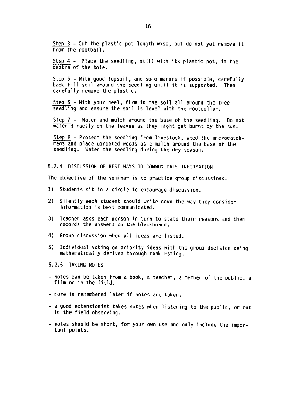Step  $3$  - Cut the plastic pot length wise, but do not yet remove it from the rootball.

Step 4 - Place the seedling, still with its plastic pot, in the centre of the hole.

Step 5 - With good topsoil, and some manure if possible, carefully back fill soil around the seedling until it is supported. Then carefully remove the plastic.

seed Iing and ensure the soil is level with the rootcoll Step 6 - With your heel, firm in the soil all around the tree

Step  $7$  - Water and mulch around the base of the seedling. Do not water directly on the leaves as they might get burnt by the sun.

Step 8 - Protect the seedling from livestock, weed the microcatchment and place uprooted weeds as a mulch around the base of the seedling. Water the seedling during the dry season.

5.2.4 DISCUSSION OF BEST WAYS TO COMMUNICATE INFORMATION

The objective of the seminar is to practice group discussions.

- 1) Students sit in a circle to encourage discussion.
- 21 Silently each student should write down the way they consider information is best communicated.
- 3) Teacher asks each person in turn to state their reasons and then records the answers on the blackboard.
- 4) Group discussion when all ideas are listed.
- 5) Individual voting on priority ideas with the group decision being mathematically derived through rank rating.

5.2.5 TAKING NOTES

- notes can be taken from a book, a teacher, a member of the public, a film or in the field.
- more is remembered later if notes are taken.
- a good extensionist takes notes when listening to the public, or out in the field observing.
- notes should be short, for your own use and only include the important points.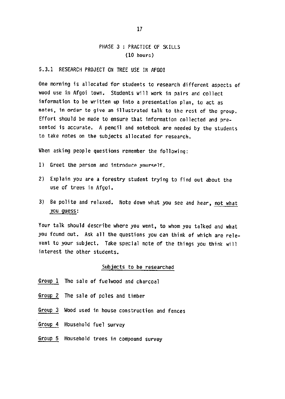## PHASE 3 : PRACTICE OF SKILLS (10 hours)

#### 5.3.1 RESEARCH PROJECT ON TREE USE IN AFGOI

One morning is allocated for students to research different aspects of wood use in Afgoi town. Students will work in pairs and collect information to be written up into a presentation plan, to act as notes, in order to give an illustrated talk to the rest of the group. Effort should be made to ensure that information collected and presented is accurate. A pencil and notebook are needed by the students to take notes on the subjects allocated for research.

When asking people questions remember the following:

- 1) Greet the person and introduce yourself.
- 2) Explain you are a forestry student trying to find out about the use of trees in Afgoi.
- 3) Be polite and relaxed. Note down what you see and hear, not what you guess:

Your talk should describe where you went, to whom you talked and what you found out. Ask all the questions you can think of which are relevant to your subject. Take special note of the things you think will interest the other students.

#### Subjects to be researched

- Group 1 The sale of fuelwood and charcoal
- Group 2 The sale of poles and timber
- Group 3 Wood used in house construction and fences
- Group 4 Household fuel survey
- Group 5 Household trees in compound survey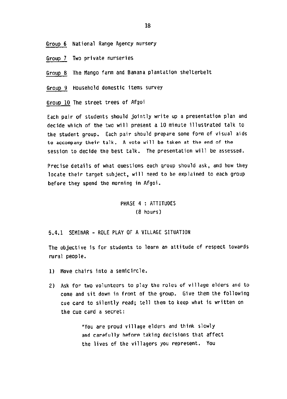Group 6 National Range Agency nursery

Group 7 Two private nurseries

Group 8 The Mango farm and Banana plantation shelterbelt

Group Household domestic items survey

Group 10 The street trees of Afgoi

Each pair of students should jointly write up a presentation plan and decide which of the two will present a 10 minute illustrated talk to the student group. Each pair should prepare some form of visual aids to accompany their talk. A vote will be taken at the end of the session to decide the best talk. The presentation will be assessed.

Precise details of what questions each group should ask, and how they locate their target subject, will need to be explained to each group before they spend the morning in Afgoi.

# PHASE 4 : ATTITUDES (8 hours)

5.4.1 SEMINAR - ROLE PLAY OF A VILLAGE SITUATION

The objective is for students to learn an attitude of respect towards rural people.

- 1) Move chairs into a semicircle.
- 2) Ask for two volunteers to play the roles of village elders and to come and sit down in front of the group. Give them the following cue card to silently read; tell them to keep what is written on the cue card a secret:

"You are proud village elders and think slowly and carefully before taking decisions that affect the lives of the villagers you represent. You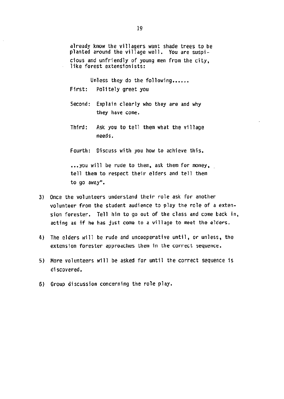already know the villagers want shade trees to be planted around the village well. You are suspicious and unfriendly of young men from the city, like forest extensionists:

Unless they do the fallowing...... First: Politely greet you

- Second: Explain clearly who they are and why they have come.
- Third: Ask you to tell them what the village needs.

Fourth: Oiscuss with you how to achieve this.

...you will be rude to them, ask them for money, tell them to respect their elders and tell them to go away".

- 3) Once the volunteers understand their role ask for another volunteer from the student audience to play the role of a extension forester. Tell him to go out of the class and come back in, acting as if he has just come to a village to meet the elders.
- 4) The elders will be rude and uncooperative until, or unless, the extension forester approaches them in the correct sequence.
- 5) More volunteers will be asked for until the correct sequence is discovered.
- 6) Group discussion concerning the role play.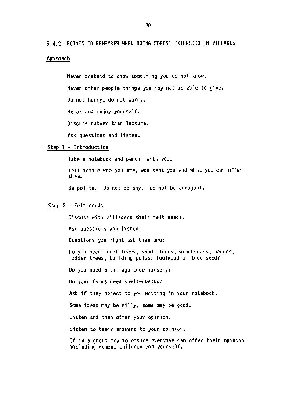5.4.2 POlNTS TO REMEMBER WHEN DOING FOREST EXTENSION IN VILLAGES Approach

> Never pretend to know something you do not know. Never offer people things you may not be able to give. 00 not hurry, do not worry. Relax and enjoy yourself. Discuss rather than lecture. Ask questions and listen.

#### Step 1 - Introduction

Take a notebook and pencil with you.

Tell people who you are, who sent you and what you can offer them.

Be polite. 00 not be shy. 00 not be arrogant.

#### Step 2 - Felt needs

Discuss with villagers their felt needs.

Ask questions and listen.

Questions you might ask them are:

Do you need fruit trees, shade trees, windbreaks, hedges, fodder trees. building poles, fuelwood or tree seed?

00 you need a village tree nursery?

00 your farms need shelterbelts?

Ask if they object to you writing in your notebook

Some ideas may be silly, some may be good.

Listen and then offer your opinion.

Listen to their answers to your opinion.

If in a group try to ensure everyone can offer their opinion including women, children and yourself.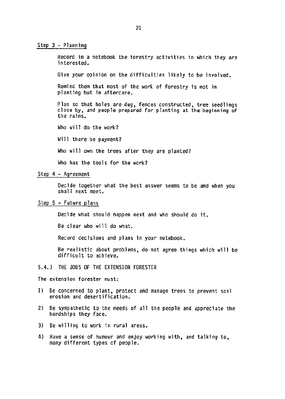#### Step 3 - Planning

Record in a notebook the forestry activities in which they are interested.

Give your opinion an the difficulties likely to be involved.

Remind them that most of the work of forestry is not in planting but in aftercare.

Plan 50 that holes are dug, fences constructed, tree seedlings close by, and people prepared for planting at the beginning of the rains.

Who will do the work?

Will there be payment?

Who will own the trees after they are planted?

Who has the tools for the work?

#### step 4 - Agreement

Decide together what the best answer seems to be and when you shall next meet.

#### Step 5 - Future plans

Decide what should happen next and who should do it.

Be clear who will do what.

Record decisions and plans in your notebook.

Be realistic about problems, do not agree things which will be difficult to achieve.

#### 5.4.3 THE JOBS OF THE EXTENSION FORESTER

The extension forester must:

- 1) Be concerned to plant, protect and manage trees to prevent soil erosion and desertification.
- 2) Be sympathetic to the needs of all the people and appreciate the hardships they face.
- 3) Be willing to work in rural areas.
- 4) Have a sense of humour and enjoy working with, and talking to. many different types of people.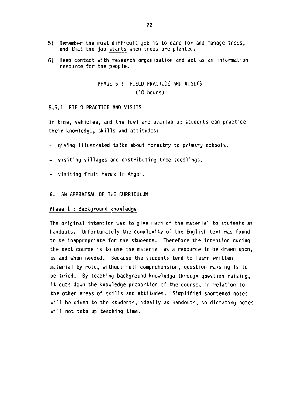- 5) Remember the most difficult job is to care for and manage trees, and that the job starts when trees are planted.
- 6) Keep contact with research organisation and act as an information resource for the people.

PHASE 5 : FIELD PRACTICE AND VISITS (10 hours)

5.5.1 FIELD PRACTICE AND VISITS

If time, vehicles, and the fuel are available; students can practice their knowledge, skills and attitudes:

- giving illustrated talks about forestry to primary schools.
- visiting villages and distributing tree seedlings.
- visiting fruit farms in Afgoi.
- 6. AN APPRAISAL OF THE CURRICULUM

#### Phase 1 : Background knowledge

The original intention was to give much of the material to students as handouts. Unfortunately the complexity of the English text was found to be inappropriate for the students. Therefore the intention during the next course is to use the material as a resource to be drawn upon, as and when needed. Because the students tend to learn written material by rote, without full comprehension, question raising is to be tried. By teaching background knowledge through question raising, it cuts down the knowledge proportion of the course, in relation to the other areas of skills and attitudes. Simplified shortened notes will be given to the students, ideally as handouts, so dictating notes will not take up teaching time.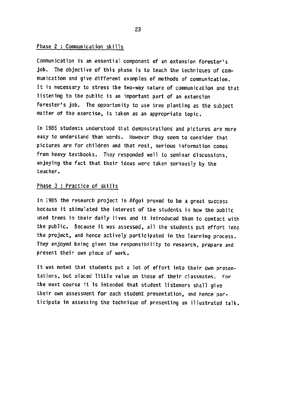#### Phase 2 : Communication skills

Communication is an essential component of an extension forester's iob. The objective of this phase is to teach the techniques of communication and give different examples of methods of communication. It is necessary to stress the two-way nature of communication and that listening to the public is an important part of an extension forester's job. The opportunity to use tree planting as the subject matter of the exercise, is taken as an appropriate topic.

In 1985 students understood that demonstrations and pictures are more easy to understand than words. However they seem to consider that pictures are for children and that real, serious information comes from heavy textbooks. They responded well to seminar discussions, enjoying the fact that their ideas were taken seriously by the teacher.

#### Phase 3 : Practice of skills

In 1985 the research project in Afgoi proved to be a great success because it stimulated the interest of the students in how the public used trees in their daily lives and it introduced them to contact with the public. Because it was assessed, all the students put effort into the project, and hence actively participated in the learning process. They enjoyed being given the responsibility to research, prepare and present their own piece of work.

It was noted that students put a lot of effort into their own presentations, but placed little value on those of their classmates. For the next course it is intended that student listeners shall give their own assessment for each student presentation, and hence participate in assessing the technique of presenting an illustrated talk.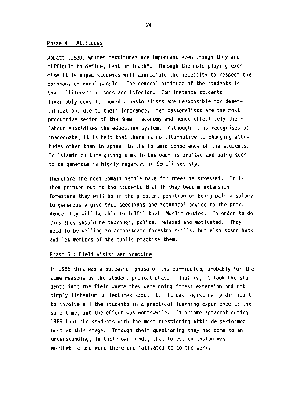#### Phase 4 : Attitudes

Abbatt (1980) writes "Attitudes are important even though they are difficult to define. test or teach". Through the role playing exercise it is hoped students will appreciate the necessity to respect the opinions of rural people. The general attitude of the students is that illiterate persons are inferior. For instance students invariably consider nomadic pastoralists are responsible for desertification, due to their ignorance. Yet pastoralists are the most productive sector of the Somali economy and hence effectively their labour subsidises the education system. Although it is recognised as inadequate, it is felt that there is no alternative to changing attitudes other than to appeal to the Islamic conscience of the students. In lslamic culture giving alms to the poor is praised and being seen to be generous is highly regarded in Somali Society.

Therefore the need Somali people have for trees is stressed. It is then pointed out to the students that if they become extension foresters they will be in the pleasant position of being paid a salary to generously give tree seedlings and technical advice to the poor. Hence they will be able to fulfil their Muslim duties. In order to do this they should be thorough, polite, relaxed and motivated. They need to be willing to demonstrate forestry skills, but also stand back and let members of the public practise them.

#### Phase 5 : Field visits and practice

In 1985 this was a succesful phase of the curriculum, probably for the same reasons as the student project phase. That is, it took the students into the field where they were doing forest extension and not simply listening to lectures about it. It was logistically difficult to involve all the students in a practical learning experience at the same time, but the effort was worthwhile. It became apparent during 1985 that the students with the most questioning attitude performed best at this stage. Through their questioning they had come to an understanding, in their own minds, that forest extension was worthwhile and were therefore motivated to do the work.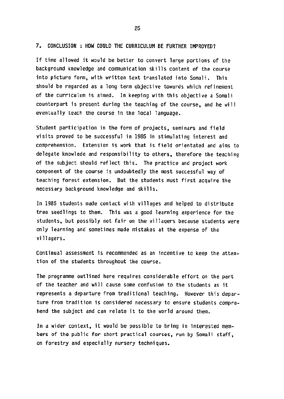#### 7. CONCLUSION : HOW COULD THE CURRICULUM BE FURTHER IMPROVE07

If time allowed it would be better to convert large portions of the background knowledge and communication skills content of the course into picture form, with written text translated into Somali. This should be regarded as a long term objective towards which refinement of the curriculum is aimed. In keeping with this objective a Somali counterpart is present during the teaching of the course, and he will eventually teach the course in the local language.

Student participation in the form of projects, seminars and field visits proved to be successful in 1985 in stimulating interest and comprehension. Extension is work that is field orientated and aims to delegate knowlede and responsibility to others, therefore the teaching of the subject should reflect this. The practice and project work component of the course is undoubtedly the most successful way of teaching forest extension. But the students must first acquire the necessary background knowledge and skills.

In 1985 students made contact with villages and helped to distribute tree seedlings to them. This was a good learning experience for the students, but possibly not fair on the villagers because students were only learning and sometimes made mistakes at the expense of the villagers.

Continual assessment is recommended as an incentive to keep the attention of the students throughout the course.

The programme outlined here requires considerable effort on the part of the teacher and will cause some confusion to the students as it represents a departure from traditional teaching. However this departure from tradition is considered necessary to ensure students comprehend the subject and can relate it to the world around them.

In a wider context, it would be possible to bring in interested members of the public for shovt practical courses, run by Somali staff, on forestry and especially nursery techniques.

25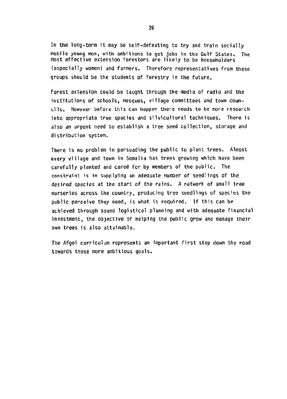In the long-term it may be self-defeating to try and train socially mobile young men, with ambitions to get jobs in the Gulf States. The most effective extension foresters are likely to be householders (especially women) and farmers. Therefore representatives from theze groups should be the students of forestry in the future.

Forest extension could be taught through the media of radio and the institutions of schools, mosques, village committees and town councils. However before this can happen there needs to be more research into appropriate tree species and silvicultural techniques. There is also an urgent need to establish a tree seed Collection, storage and distribution system.

There is no problem in persuading the public to plant trees. Almost every village and town in Somalia has trees growing which have been carefully planted and cared for by members of the public. The constraint is in supplying an adequate number of seedlings of the desired species at the Start of the rains. A network of small tree nurseries across the country. producing tree seedlings of species the public perceive they need, is what is required. If this can be achieved through sound logistical planning and with adequate financial investment, the objective of helping the public grow and manage their own trees is also attainable.

The Afgoi curriculum represents an important first step down the road towards these more ambitious goals.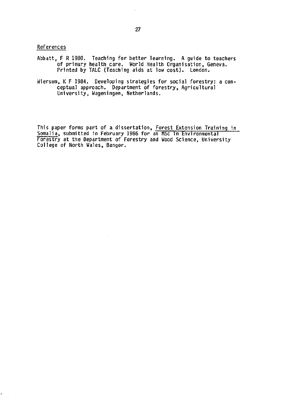References

- Abbatt, F R 1980. Teaching for better learning. A guide to teacher of primary health care. World Health Organisation, Geneva. Printed by TALC (Teaching aids at low cost). London.
- Wiersum, K F 1984. Developing strategies for social forestry: a conceptual approach. Department of forestry, Agricultural University, Wageningen, Netherlands.

Inis paper forms part of a dissertation, <u>Forest Extension Training i</u>n Somalia, submitted in February 1986 for an MSc in Environment Forestry at the Department of Forestry and Wood Science, University College of North Wales, Bangov.